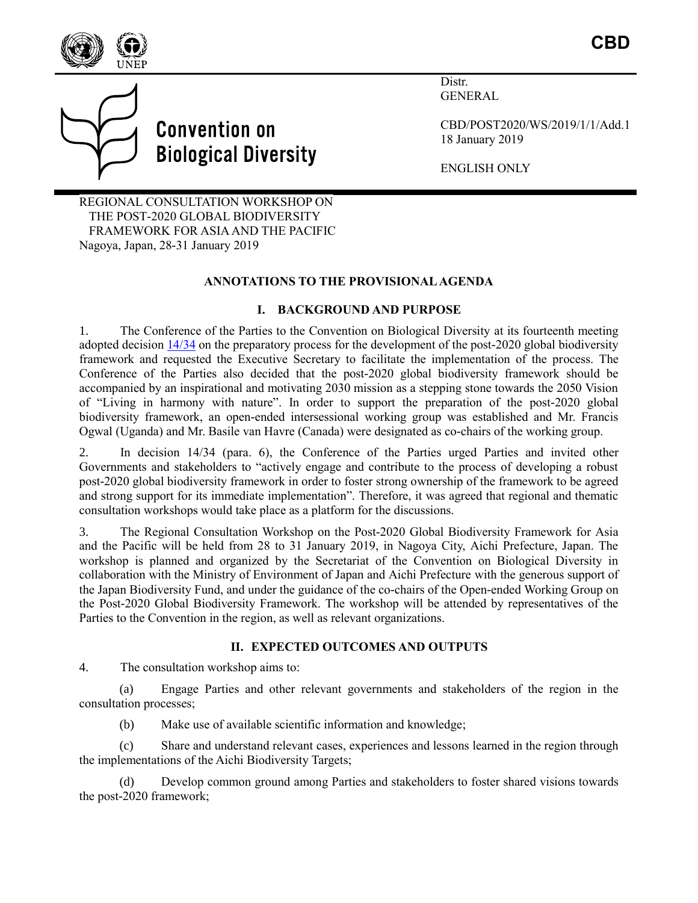

**Convention on Biological Diversity** 

Distr. **GENERAL** 

CBD/POST2020/WS/2019/1/1/Add.1 18 January 2019

ENGLISH ONLY

REGIONAL CONSULTATION WORKSHOP ON THE POST-2020 GLOBAL BIODIVERSITY FRAMEWORK FOR ASIA AND THE PACIFIC Nagoya, Japan, 28-31 January 2019

## **ANNOTATIONS TO THE PROVISIONAL AGENDA**

### **I. BACKGROUND AND PURPOSE**

1. The Conference of the Parties to the Convention on Biological Diversity at its fourteenth meeting adopted decision  $\frac{14}{34}$  on the preparatory process for the development of the post-2020 global biodiversity framework and requested the Executive Secretary to facilitate the implementation of the process. The Conference of the Parties also decided that the post-2020 global biodiversity framework should be accompanied by an inspirational and motivating 2030 mission as a stepping stone towards the 2050 Vision of "Living in harmony with nature". In order to support the preparation of the post-2020 global biodiversity framework, an open-ended intersessional working group was established and Mr. Francis Ogwal (Uganda) and Mr. Basile van Havre (Canada) were designated as co-chairs of the working group.

2. In decision 14/34 (para. 6), the Conference of the Parties urged Parties and invited other Governments and stakeholders to "actively engage and contribute to the process of developing a robust post-2020 global biodiversity framework in order to foster strong ownership of the framework to be agreed and strong support for its immediate implementation". Therefore, it was agreed that regional and thematic consultation workshops would take place as a platform for the discussions.

3. The Regional Consultation Workshop on the Post-2020 Global Biodiversity Framework for Asia and the Pacific will be held from 28 to 31 January 2019, in Nagoya City, Aichi Prefecture, Japan. The workshop is planned and organized by the Secretariat of the Convention on Biological Diversity in collaboration with the Ministry of Environment of Japan and Aichi Prefecture with the generous support of the Japan Biodiversity Fund, and under the guidance of the co-chairs of the Open-ended Working Group on the Post-2020 Global Biodiversity Framework. The workshop will be attended by representatives of the Parties to the Convention in the region, as well as relevant organizations.

# **II. EXPECTED OUTCOMES AND OUTPUTS**

4. The consultation workshop aims to:

(a) Engage Parties and other relevant governments and stakeholders of the region in the consultation processes;

(b) Make use of available scientific information and knowledge;

(c) Share and understand relevant cases, experiences and lessons learned in the region through the implementations of the Aichi Biodiversity Targets;

(d) Develop common ground among Parties and stakeholders to foster shared visions towards the post-2020 framework;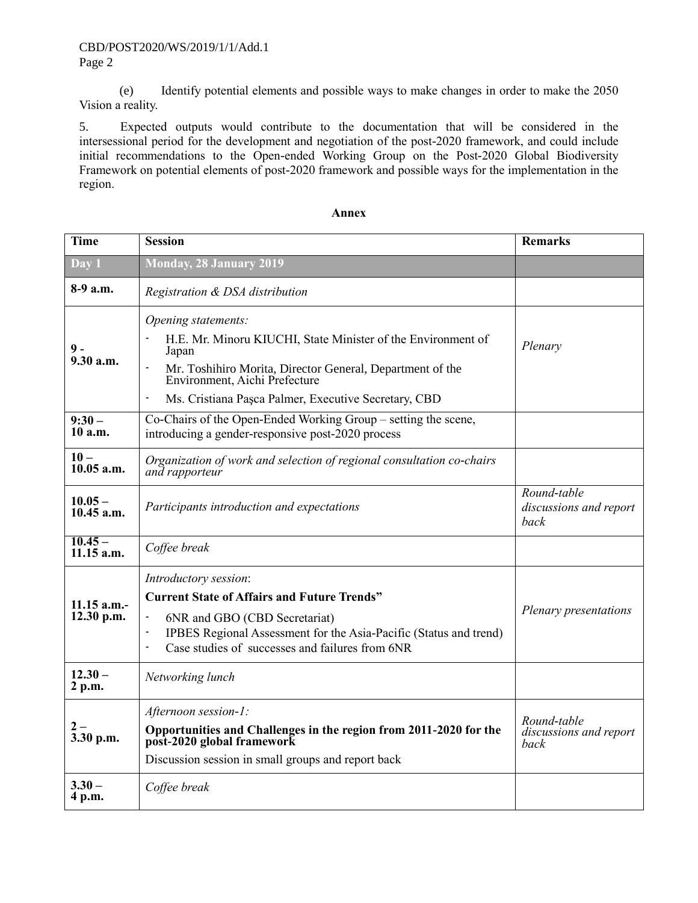(e) Identify potential elements and possible ways to make changes in order to make the 2050 Vision a reality.

5. Expected outputs would contribute to the documentation that will be considered in the intersessional period for the development and negotiation of the post-2020 framework, and could include initial recommendations to the Open-ended Working Group on the Post-2020 Global Biodiversity Framework on potential elements of post-2020 framework and possible ways for the implementation in the region.

| <b>Time</b>               | <b>Session</b>                                                                                                                                                                                                                                                                                                 | <b>Remarks</b>                                |
|---------------------------|----------------------------------------------------------------------------------------------------------------------------------------------------------------------------------------------------------------------------------------------------------------------------------------------------------------|-----------------------------------------------|
| Day 1                     | <b>Monday, 28 January 2019</b>                                                                                                                                                                                                                                                                                 |                                               |
| 8-9 a.m.                  | Registration & DSA distribution                                                                                                                                                                                                                                                                                |                                               |
| $9 -$<br>9.30 a.m.        | Opening statements:<br>H.E. Mr. Minoru KIUCHI, State Minister of the Environment of<br>Japan<br>Mr. Toshihiro Morita, Director General, Department of the<br>Environment, Aichi Prefecture<br>$\centerdot$<br>Ms. Cristiana Pașca Palmer, Executive Secretary, CBD<br>$\qquad \qquad \blacksquare$             | Plenary                                       |
| $9:30-$<br>10 a.m.        | Co-Chairs of the Open-Ended Working Group – setting the scene,<br>introducing a gender-responsive post-2020 process                                                                                                                                                                                            |                                               |
| $10 -$<br>$10.05$ a.m.    | Organization of work and selection of regional consultation co-chairs<br>and rapporteur                                                                                                                                                                                                                        |                                               |
| $10.05 -$<br>$10.45$ a.m. | Participants introduction and expectations                                                                                                                                                                                                                                                                     | Round-table<br>discussions and report<br>back |
| $10.45 -$<br>11.15 a.m.   | Coffee break                                                                                                                                                                                                                                                                                                   |                                               |
| 11.15 a.m.-<br>12.30 p.m. | Introductory session:<br><b>Current State of Affairs and Future Trends"</b><br>6NR and GBO (CBD Secretariat)<br>$\overline{\phantom{a}}$<br>IPBES Regional Assessment for the Asia-Pacific (Status and trend)<br>$\overline{\phantom{a}}$<br>Case studies of successes and failures from 6NR<br>$\blacksquare$ | Plenary presentations                         |
| $12.30 -$<br>2 p.m.       | Networking lunch                                                                                                                                                                                                                                                                                               |                                               |
| $2-$<br>3.30 p.m.         | Afternoon session-1:<br>Opportunities and Challenges in the region from 2011-2020 for the post-2020 global framework<br>Discussion session in small groups and report back                                                                                                                                     | Round-table<br>discussions and report<br>back |
| $3.30 -$<br>4 p.m.        | Coffee break                                                                                                                                                                                                                                                                                                   |                                               |

#### **Annex**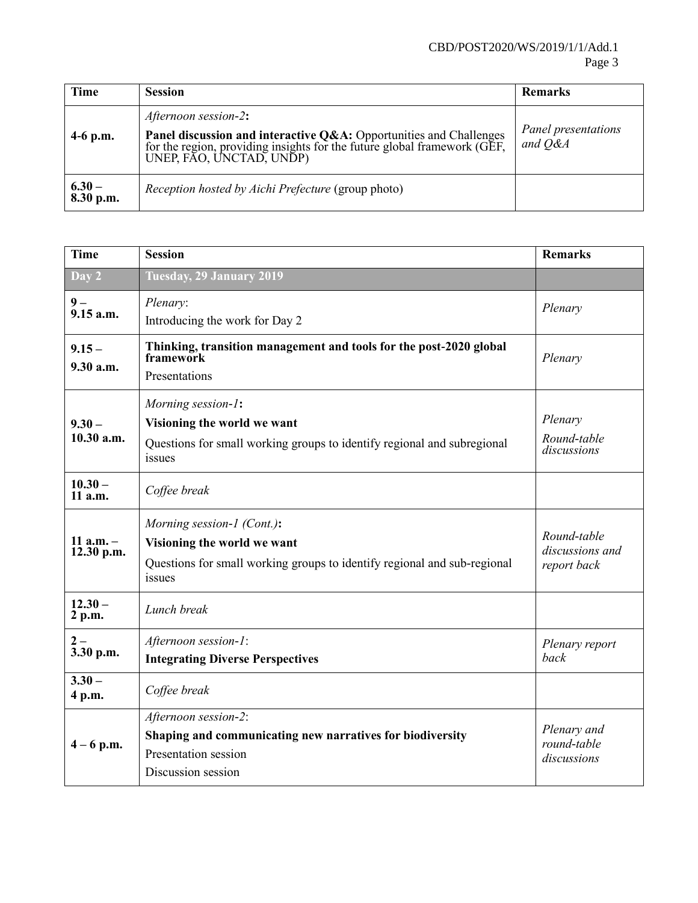## CBD/POST2020/WS/2019/1/1/Add.1 Page 3

| <b>Time</b>           | <b>Session</b>                                                                                                                                                                                          | <b>Remarks</b>                 |
|-----------------------|---------------------------------------------------------------------------------------------------------------------------------------------------------------------------------------------------------|--------------------------------|
| $4-6$ p.m.            | Afternoon session-2:<br><b>Panel discussion and interactive Q&amp;A:</b> Opportunities and Challenges for the region, providing insights for the future global framework (GEF, UNEP, FAO, UNCTAD, UNDP) | Panel presentations<br>and O&A |
| $6.30 -$<br>8.30 p.m. | Reception hosted by Aichi Prefecture (group photo)                                                                                                                                                      |                                |

| <b>Time</b>               | <b>Session</b>                                                                                                                                  | <b>Remarks</b>                                |
|---------------------------|-------------------------------------------------------------------------------------------------------------------------------------------------|-----------------------------------------------|
| Day 2                     | Tuesday, 29 January 2019                                                                                                                        |                                               |
| $9-$<br>9.15 a.m.         | Plenary:<br>Introducing the work for Day 2                                                                                                      | Plenary                                       |
| $9.15 -$<br>9.30 a.m.     | Thinking, transition management and tools for the post-2020 global<br>framework<br>Presentations                                                | Plenary                                       |
| $9.30 -$<br>10.30 a.m.    | Morning session-1:<br>Visioning the world we want<br>Questions for small working groups to identify regional and subregional<br>issues          | Plenary<br>Round-table<br>discussions         |
| $10.30 -$<br>11 a.m.      | Coffee break                                                                                                                                    |                                               |
| 11 $a.m. -$<br>12.30 p.m. | Morning session-1 (Cont.):<br>Visioning the world we want<br>Questions for small working groups to identify regional and sub-regional<br>issues | Round-table<br>discussions and<br>report back |
| $12.30 -$<br>2 p.m.       | Lunch break                                                                                                                                     |                                               |
| $2-$<br>3.30 p.m.         | Afternoon session-1:<br><b>Integrating Diverse Perspectives</b>                                                                                 | Plenary report<br>back                        |
| $3.30 -$<br>4 p.m.        | Coffee break                                                                                                                                    |                                               |
| $4 - 6$ p.m.              | Afternoon session-2:<br>Shaping and communicating new narratives for biodiversity<br>Presentation session<br>Discussion session                 | Plenary and<br>round-table<br>discussions     |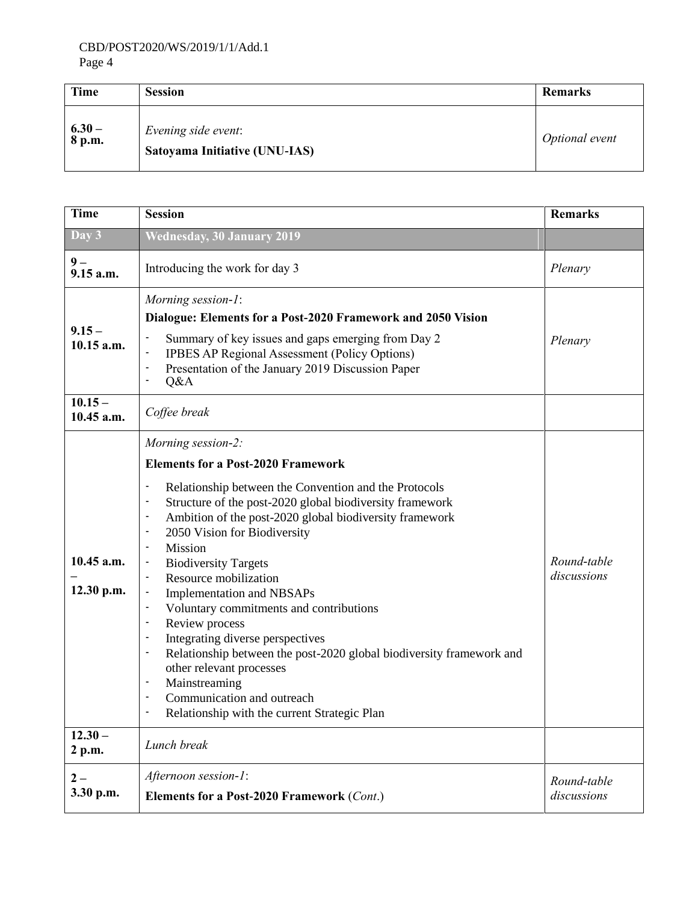## CBD/POST2020/WS/2019/1/1/Add.1 Page 4

| Time            | <b>Session</b>                                       | <b>Remarks</b> |
|-----------------|------------------------------------------------------|----------------|
| $6.30 - 8 p.m.$ | Evening side event:<br>Satoyama Initiative (UNU-IAS) | Optional event |

| <b>Time</b>              | <b>Session</b>                                                                                                                                                                                                                                                                                                                                                                                                                                                                                                                                                                                                                                                                                                                                                                                                                          | <b>Remarks</b>             |
|--------------------------|-----------------------------------------------------------------------------------------------------------------------------------------------------------------------------------------------------------------------------------------------------------------------------------------------------------------------------------------------------------------------------------------------------------------------------------------------------------------------------------------------------------------------------------------------------------------------------------------------------------------------------------------------------------------------------------------------------------------------------------------------------------------------------------------------------------------------------------------|----------------------------|
| Day 3                    | <b>Wednesday, 30 January 2019</b>                                                                                                                                                                                                                                                                                                                                                                                                                                                                                                                                                                                                                                                                                                                                                                                                       |                            |
| $9-$<br>$9.15$ a.m.      | Introducing the work for day 3                                                                                                                                                                                                                                                                                                                                                                                                                                                                                                                                                                                                                                                                                                                                                                                                          | Plenary                    |
| $9.15 -$<br>10.15 a.m.   | Morning session-1:<br>Dialogue: Elements for a Post-2020 Framework and 2050 Vision<br>Summary of key issues and gaps emerging from Day 2<br><b>IPBES AP Regional Assessment (Policy Options)</b><br>Presentation of the January 2019 Discussion Paper<br>Q&A                                                                                                                                                                                                                                                                                                                                                                                                                                                                                                                                                                            | Plenary                    |
| $10.15 -$<br>10.45 a.m.  | Coffee break                                                                                                                                                                                                                                                                                                                                                                                                                                                                                                                                                                                                                                                                                                                                                                                                                            |                            |
| 10.45 a.m.<br>12.30 p.m. | Morning session-2:<br><b>Elements for a Post-2020 Framework</b><br>Relationship between the Convention and the Protocols<br>Structure of the post-2020 global biodiversity framework<br>$\overline{\phantom{a}}$<br>Ambition of the post-2020 global biodiversity framework<br>2050 Vision for Biodiversity<br>Mission<br>$\overline{\phantom{a}}$<br><b>Biodiversity Targets</b><br>Resource mobilization<br>$\overline{\phantom{a}}$<br>Implementation and NBSAPs<br>Voluntary commitments and contributions<br>Review process<br>$\blacksquare$<br>Integrating diverse perspectives<br>$\blacksquare$<br>Relationship between the post-2020 global biodiversity framework and<br>other relevant processes<br>Mainstreaming<br>$\overline{\phantom{a}}$<br>Communication and outreach<br>Relationship with the current Strategic Plan | Round-table<br>discussions |
| $12.30 -$<br>2 p.m.      | Lunch break                                                                                                                                                                                                                                                                                                                                                                                                                                                                                                                                                                                                                                                                                                                                                                                                                             |                            |
| $2-$<br>3.30 p.m.        | Afternoon session-1:<br>Elements for a Post-2020 Framework (Cont.)                                                                                                                                                                                                                                                                                                                                                                                                                                                                                                                                                                                                                                                                                                                                                                      | Round-table<br>discussions |